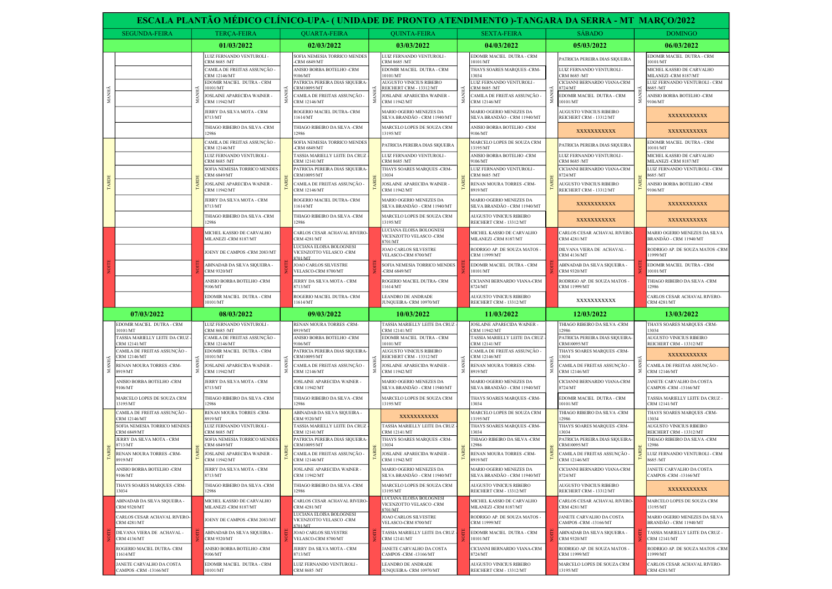|       | ESCALA PLANTÃO MÉDICO CLÍNICO-UPA- (UNIDADE DE PRONTO ATENDIMENTO )-TANGARA DA SERRA - MT MARÇO/2022                                                                                                                                                                                                                                                   |             |                                                                                                                                                                                                                                           |                                              |                                                                                                                                                                                                                                                  |                                                                                                                                                                       |                                                                                                                                                                                                                                                     |                           |                                                                                                                                                                                                                              |                              |                                                                                                                                                                                                             |                                 |                                                                                                                                                                                               |
|-------|--------------------------------------------------------------------------------------------------------------------------------------------------------------------------------------------------------------------------------------------------------------------------------------------------------------------------------------------------------|-------------|-------------------------------------------------------------------------------------------------------------------------------------------------------------------------------------------------------------------------------------------|----------------------------------------------|--------------------------------------------------------------------------------------------------------------------------------------------------------------------------------------------------------------------------------------------------|-----------------------------------------------------------------------------------------------------------------------------------------------------------------------|-----------------------------------------------------------------------------------------------------------------------------------------------------------------------------------------------------------------------------------------------------|---------------------------|------------------------------------------------------------------------------------------------------------------------------------------------------------------------------------------------------------------------------|------------------------------|-------------------------------------------------------------------------------------------------------------------------------------------------------------------------------------------------------------|---------------------------------|-----------------------------------------------------------------------------------------------------------------------------------------------------------------------------------------------|
|       | <b>SEGUNDA-FEIRA</b>                                                                                                                                                                                                                                                                                                                                   |             | <b>TERCA-FEIRA</b>                                                                                                                                                                                                                        | <b>OUARTA-FEIRA</b>                          |                                                                                                                                                                                                                                                  |                                                                                                                                                                       | <b>QUINTA-FEIRA</b>                                                                                                                                                                                                                                 |                           | <b>SEXTA-FEIRA</b>                                                                                                                                                                                                           |                              | <b>SÁBADO</b>                                                                                                                                                                                               |                                 | <b>DOMINGO</b>                                                                                                                                                                                |
|       |                                                                                                                                                                                                                                                                                                                                                        |             | 01/03/2022                                                                                                                                                                                                                                |                                              | 02/03/2022                                                                                                                                                                                                                                       |                                                                                                                                                                       | 03/03/2022                                                                                                                                                                                                                                          |                           | 04/03/2022                                                                                                                                                                                                                   |                              | 05/03/2022                                                                                                                                                                                                  |                                 | 06/03/2022                                                                                                                                                                                    |
| MANHÃ |                                                                                                                                                                                                                                                                                                                                                        |             | LUIZ FERNANDO VENTUROLI -<br>CRM 8685 /MT<br>CAMILA DE FREITAS ASSUNÇÃO -<br><b>CRM 12146/MT</b><br>EDOMIR MACIEL DUTRA - CRM<br>10101/MT<br>JOSLAINE APARECIDA WAINER -                                                                  | Ę                                            | SOFIA NEMESIA TORRICO MENDES<br><b>CRM 6849/MT</b><br>ANISIO BORBA BOTELHO -CRM<br>106/MT<br>PATRICIA PEREIRA DIAS SIQUEIRA-<br><b>RM10095/MT</b>                                                                                                |                                                                                                                                                                       | LUIZ FERNANDO VENTUROLI -<br>CRM 8685 /MT<br>EDOMIR MACIEL DUTRA - CRM<br>0101/MT<br><b>AUGUSTO VINICIUS RIBEIRO</b><br>< REICHERT CRM - 13312/MT<br>JOSLAINE APARECIDA WAINER -                                                                    |                           | EDOMIR MACIEL DUTRA - CRM<br>10101/MT<br>THAYS SOARES MARQUES -CRM-<br>3034<br><b>UIZ FERNANDO VENTUROLI -</b><br>CRM 8685 /MT<br>CAMILA DE FREITAS ASSUNÇÃO ·                                                               |                              | PATRICIA PEREIRA DIAS SIQUEIRA<br>LUIZ FERNANDO VENTUROLI -<br><b>CRM 8685 /MT</b><br>CICIANNI BERNARDO VIANA-CRM<br>8724/MT<br>EDOMIR MACIEL DUTRA - CRM                                                   |                                 | EDOMIR MACIEL DUTRA - CRM<br>10101/MT<br>MICHEL KASSIO DE CARVALHO<br>MILANEZI-CRM 8187/MT<br>LUIZ FERNANDO VENTUROLI - CRM<br>8685 /MT<br>ANISIO BORBA BOTELHO -CRM                          |
|       |                                                                                                                                                                                                                                                                                                                                                        | MW          | CRM 11942/MT<br>JERRY DA SILVA MOTA - CRM<br>8713/MT<br>THIAGO RIBEIRO DA SILVA -CRM                                                                                                                                                      |                                              | 'AMILA DE FREITAS ASSUNÇÃO -<br>CRM 12146/MT<br><b>ROGERIO MACIEL DUTRA- CRM</b><br>1614/MT<br><b>THIAGO RIBEIRO DA SILVA -CRM</b>                                                                                                               |                                                                                                                                                                       | CRM 11942/MT<br>MARIO OGERIO MENEZES DA<br>SILVA BRANDÃO - CRM 11940/MT<br>MARCELO LOPES DE SOUZA CRM                                                                                                                                               | ≂                         | CRM 12146/MT<br>MARIO OGERIO MENEZES DA<br>SILVA BRANDÃO - CRM 11940/MT<br>ANISIO BORBA BOTELHO -CRM                                                                                                                         |                              | 0101/MT<br>AUGUSTO VINICIUS RIBEIRO<br>REICHERT CRM - 13312/MT                                                                                                                                              | z.                              | 9106/MT<br>XXXXXXXXXX                                                                                                                                                                         |
|       |                                                                                                                                                                                                                                                                                                                                                        |             | 12986<br>CAMILA DE FREITAS ASSUNCÃO -<br><b>CRM 12146/MT</b><br>LUIZ FERNANDO VENTUROLI -<br>CRM 8685 /MT<br>SOFIA NEMESIA TORRICO MENDES<br><b>CRM 6849/MT</b><br>JOSLAINE APARECIDA WAINER<br>CRM 11942/MT<br>JERRY DA SILVA MOTA - CRM |                                              | 2986<br>SOFIA NEMESIA TORRICO MENDES<br><b>CRM 6849/MT</b><br><b>TASSIA MARIELLY LEITE DA CRUZ</b><br>CRM 12141/MT<br>PATRICIA PEREIRA DIAS SIQUEIRA<br>CRM10095/MT<br>:AMILA DE FREITAS ASSUNÇÃO -<br>CRM 12146/MT<br>ROGERIO MACIEL DUTRA- CRM |                                                                                                                                                                       | 13195/MT<br>PATRICIA PEREIRA DIAS SIQUEIRA<br>LUIZ FERNANDO VENTUROLI -<br>CRM 8685 /MT<br>THAYS SOARES MARQUES -CRM-<br>3034<br>JOSLAINE APARECIDA WAINER -<br><b>CRM 11942/MT</b><br>MARIO OGERIO MENEZES DA                                      |                           | 9106/MT<br>MARCELO LOPES DE SOUZA CRM<br>13195/MT<br>ANISIO BORBA BOTELHO -CRM<br>9106/MT<br>LUIZ FERNANDO VENTUROLI -<br>CRM 8685 /MT<br>RENAN MOURA TORRES -CRM-<br>8919/MT<br>MARIO OGERIO MENEZES DA                     |                              | XXXXXXXXXX<br>PATRICIA PEREIRA DIAS SIQUEIRA<br>LUIZ FERNANDO VENTUROLI -<br>CRM 8685 /MT<br>CICIANNI BERNARDO VIANA-CRM<br>8724/MT<br><b>AUGUSTO VINICIUS RIBEIRO</b><br>REICHERT CRM - 13312/MT           |                                 | XXXXXXXXXX<br>EDOMIR MACIEL DUTRA - CRM<br>10101/MT<br>MICHEL KASSIO DE CARVALHO<br>MILANEZI-CRM 8187/MT<br>LUIZ FERNANDO VENTUROLI - CRM<br>8685 /MT<br>ANISIO BORBA BOTELHO -CRM<br>9106/MT |
|       |                                                                                                                                                                                                                                                                                                                                                        |             | 8713/MT<br>THIAGO RIBEIRO DA SILVA -CRM<br>12986                                                                                                                                                                                          |                                              | 1614/MT<br><b>THIAGO RIBEIRO DA SILVA -CRM</b><br>2986                                                                                                                                                                                           | SILVA BRANDÃO - CRM 11940/MT<br>MARCELO LOPES DE SOUZA CRM<br>13195/MT                                                                                                | SILVA BRANDÃO - CRM 11940/MT<br>AUGUSTO VINICIUS RIBEIRO<br>REICHERT CRM - 13312/MT                                                                                                                                                                 |                           | XXXXXXXXXX<br>XXXXXXXXXX                                                                                                                                                                                                     |                              | XXXXXXXXXX<br>XXXXXXXXXX                                                                                                                                                                                    |                                 |                                                                                                                                                                                               |
|       |                                                                                                                                                                                                                                                                                                                                                        |             | MICHEL KASSIO DE CARVALHO<br><b>MILANEZI-CRM 8187/MT</b>                                                                                                                                                                                  |                                              | CARLOS CESAR ACHAVAL RIVERO-<br><b>CRM 4281/MT</b><br>LUCIANA ELOISA BOLOGNESI                                                                                                                                                                   | LUCIANA ELOISA BOLOGNESI<br>VICENZOTTO VELASCO -CRM<br>8701/MT<br><b>JOAO CARLOS SILVESTRE</b><br>VELASCO-CRM 8700/MT<br>SOFIA NEMESIA TORRICO MENDES<br>-CRM 6849/MT | MICHEL KASSIO DE CARVALHO<br>MILANEZI-CRM 8187/MT<br>RODRIGO AP. DE SOUZA MATOS -                                                                                                                                                                   |                           | CARLOS CESAR ACHAVAL RIVERO-<br><b>CRM 4281/MT</b><br>DILVANA VIERA DE ACHAVAL -                                                                                                                                             |                              | MARIO OGERIO MENEZES DA SILVA<br>BRANDÃO - CRM 11940/MT<br>RODRIGO AP. DE SOUZA MATOS -CRM                                                                                                                  |                                 |                                                                                                                                                                                               |
|       |                                                                                                                                                                                                                                                                                                                                                        |             | JOENY DE CAMPOS -CRM 2083/MT                                                                                                                                                                                                              |                                              | VICENZOTTO VELASCO -CRM<br>8701/MT                                                                                                                                                                                                               |                                                                                                                                                                       | <b>CRM 11999/MT</b>                                                                                                                                                                                                                                 |                           | <b>CRM 4136/MT</b>                                                                                                                                                                                                           |                              | 11999/MT                                                                                                                                                                                                    |                                 |                                                                                                                                                                                               |
|       |                                                                                                                                                                                                                                                                                                                                                        |             | ABINADAB DA SILVA SIQUEIRA -<br>CRM 9320/MT                                                                                                                                                                                               |                                              | JOAO CARLOS SILVESTRE<br>VELASCO-CRM 8700/MT                                                                                                                                                                                                     |                                                                                                                                                                       |                                                                                                                                                                                                                                                     |                           | EDOMIR MACIEL DUTRA - CRM<br>0101/MT                                                                                                                                                                                         |                              | ABINADAB DA SILVA SIQUEIRA -<br>CRM 9320/MT                                                                                                                                                                 |                                 | EDOMIR MACIEL DUTRA - CRM<br>10101/MT                                                                                                                                                         |
|       |                                                                                                                                                                                                                                                                                                                                                        |             | ANISIO BORBA BOTELHO -CRM<br>9106/MT                                                                                                                                                                                                      |                                              | JERRY DA SILVA MOTA - CRM<br>8713/MT                                                                                                                                                                                                             |                                                                                                                                                                       | ROGERIO MACIEL DUTRA- CRM<br>11614/MT                                                                                                                                                                                                               |                           | CICIANNI BERNARDO VIANA-CRM<br>8724/MT                                                                                                                                                                                       |                              | RODRIGO AP. DE SOUZA MATOS -<br>CRM 11999/MT                                                                                                                                                                |                                 | THIAGO RIBEIRO DA SILVA -CRM<br>12986                                                                                                                                                         |
|       |                                                                                                                                                                                                                                                                                                                                                        |             | EDOMIR MACIEL DUTRA - CRM<br>10101/MT                                                                                                                                                                                                     |                                              | ROGERIO MACIEL DUTRA- CRM<br>1614/MT                                                                                                                                                                                                             |                                                                                                                                                                       | <b>LEANDRO DE ANDRADE</b><br>JUNQUEIRA- CRM 10970/MT                                                                                                                                                                                                |                           | <b>AUGUSTO VINICIUS RIBEIRO</b><br>REICHERT CRM - 13312/MT                                                                                                                                                                   |                              | XXXXXXXXXX                                                                                                                                                                                                  |                                 | CARLOS CESAR ACHAVAL RIVERO-<br><b>CRM 4281/MT</b>                                                                                                                                            |
|       | 07/03/2022                                                                                                                                                                                                                                                                                                                                             |             | 08/03/2022                                                                                                                                                                                                                                |                                              | 09/03/2022                                                                                                                                                                                                                                       |                                                                                                                                                                       | 10/03/2022                                                                                                                                                                                                                                          |                           | 11/03/2022                                                                                                                                                                                                                   |                              | 12/03/2022                                                                                                                                                                                                  |                                 | 13/03/2022                                                                                                                                                                                    |
|       | EDOMIR MACIEL DUTRA - CRM<br>10101/MT<br>TASSIA MARIELLY LEITE DA CRUZ<br>CRM 12141/MT<br>CAMILA DE FREITAS ASSUNÇÃO -<br>CRM 12146/MT<br>$\begin{array}{c}\n\stackrel{\text{CE}}{\\ \text{SE}}\\ \stackrel{\text{RENAN M}}{\text{E}}\\ \stackrel{\text{SE}}{\\ \text{S919/MT}}\n\end{array}$<br>RENAN MOURA TORRES -CRM-<br>ANISIO BORBA BOTELHO -CRM | <b>NANI</b> | LUIZ FERNANDO VENTUROLI -<br>CRM 8685 /MT<br>CAMILA DE FREITAS ASSUNÇÃO -<br><b>CRM 12146/MT</b><br>EDOMIR MACIEL DUTRA - CRM<br>10101/MT<br>JOSLAINE APARECIDA WAINER -<br>CRM 11942/MT<br>JERRY DA SILVA MOTA - CRM                     |                                              | RENAN MOURA TORRES -CRM-<br>3919/MT<br>ANISIO BORBA BOTELHO -CRM<br>9106/MT<br>PATRICIA PEREIRA DIAS SIQUEIRA<br><b>RM10095/MT</b><br>AMILA DE FREITAS ASSUNÇÃO -<br>CRM 12146/MT<br>OSLAINE APARECIDA WAINER -                                  |                                                                                                                                                                       | TASSIA MARIELLY LEITE DA CRUZ<br><b>CRM 12141/MT</b><br>EDOMIR MACIEL DUTRA - CRM<br>10101/MT<br><b>AUGUSTO VINICIUS RIBEIRO</b><br>REICHERT CRM - 13312/MT<br>JOSLAINE APARECIDA WAINER -<br><b>CRM 11942/MT</b><br><b>MARIO OGERIO MENEZES DA</b> | MANI                      | JOSLAINE APARECIDA WAINER -<br><b>CRM 11942/MT</b><br>TASSIA MARIELLY LEITE DA CRUZ<br>CRM 12141/MT<br>CAMILA DE FREITAS ASSUNÇÃO -<br><b>CRM 12146/MT</b><br>RENAN MOURA TORRES -CRM-<br>8919/MT<br>MARIO OGERIO MENEZES DA | ≤<br>MANI                    | THIAGO RIBEIRO DA SILVA-CRM<br>12986<br>PATRICIA PEREIRA DIAS SIQUEIRA<br>CRM10095/MT<br>THAYS SOARES MARQUES -CRM-<br>13034<br>CAMILA DE FREITAS ASSUNÇÃO -<br>CRM 12146/MT<br>CICIANNI BERNARDO VIANA-CRM | MANI                            | THAYS SOARES MARQUES -CRM-<br>13034<br>AUGUSTO VINICIUS RIBEIRO<br>REICHERT CRM - 13312/MT<br>XXXXXXXXXX<br>CAMILA DE FREITAS ASSUNÇÃO -<br>CRM 12146/MT<br>JANETE CARVALHO DA COSTA          |
|       | 9106/MT<br>MARCELO LOPES DE SOUZA CRM                                                                                                                                                                                                                                                                                                                  |             | 8713/MT<br>THIAGO RIBEIRO DA SILVA -CRM                                                                                                                                                                                                   |                                              | CRM 11942/MT<br>THIAGO RIBEIRO DA SILVA -CRM                                                                                                                                                                                                     |                                                                                                                                                                       | SILVA BRANDÃO - CRM 11940/MT<br>MARCELO LOPES DE SOUZA CRM                                                                                                                                                                                          |                           | SILVA BRANDÃO - CRM 11940/MT<br>THAYS SOARES MARQUES -CRM-                                                                                                                                                                   |                              | 8724/MT<br>EDOMIR MACIEL DUTRA - CRM                                                                                                                                                                        |                                 | CAMPOS -CRM -13166/MT<br>TASSIA MARIELLY LEITE DA CRUZ -                                                                                                                                      |
|       | 13195/MT<br>AMILA DE FREITAS ASSUNÇÃO -<br>CRM 12146/MT                                                                                                                                                                                                                                                                                                |             | 12986<br>RENAN MOURA TORRES -CRM-<br>8919/MT                                                                                                                                                                                              |                                              | 12986<br>ABINADAB DA SILVA SIQUEIRA -<br><b>CRM 9320/MT</b>                                                                                                                                                                                      |                                                                                                                                                                       | 13195/MT<br>XXXXXXXXXX                                                                                                                                                                                                                              |                           | 13034<br>MARCELO LOPES DE SOUZA CRM<br>13195/MT                                                                                                                                                                              |                              | 10101/MT<br>THIAGO RIBEIRO DA SILVA -CRM<br>12986                                                                                                                                                           |                                 | CRM 12141/MT<br>THAYS SOARES MARQUES -CRM-<br>13034                                                                                                                                           |
|       | SOFIA NEMESIA TORRICO MENDES<br><b>CRM 6849/MT</b>                                                                                                                                                                                                                                                                                                     |             | LUIZ FERNANDO VENTUROLI -<br>CRM 8685 /MT                                                                                                                                                                                                 |                                              | <b>TASSIA MARIELLY LEITE DA CRUZ</b><br>CRM 12141/MT                                                                                                                                                                                             | TASSIA MARIELLY LEITE DA CRUZ<br>CRM 12141/MT                                                                                                                         | THAYS SOARES MARQUES -CRM-<br>13034                                                                                                                                                                                                                 |                           | THAYS SOARES MARQUES -CRM-<br>13034                                                                                                                                                                                          |                              | AUGUSTO VINICIUS RIBEIRO<br>REICHERT CRM - 13312/MT                                                                                                                                                         |                                 |                                                                                                                                                                                               |
|       | JERRY DA SILVA MOTA - CRM<br>8713/MT                                                                                                                                                                                                                                                                                                                   |             | SOFIA NEMESIA TORRICO MENDES<br><b>CRM 6849/MT</b>                                                                                                                                                                                        |                                              | PATRICIA PEREIRA DIAS SIQUEIRA<br>CRM10095/MT                                                                                                                                                                                                    |                                                                                                                                                                       | THAYS SOARES MAROUES -CRM-<br>3034                                                                                                                                                                                                                  |                           | THIAGO RIBEIRO DA SILVA -CRM<br>2986                                                                                                                                                                                         |                              | PATRICIA PEREIRA DIAS SIQUEIRA<br>CRM10095/MT                                                                                                                                                               |                                 | THIAGO RIBEIRO DA SILVA -CRM<br>12986                                                                                                                                                         |
|       | RENAN MOURA TORRES -CRM-<br>8919/MT                                                                                                                                                                                                                                                                                                                    |             | JOSLAINE APARECIDA WAINER -<br><b>CRM 11942/MT</b>                                                                                                                                                                                        |                                              | AMILA DE FREITAS ASSUNCÃO -<br>CRM 12146/MT                                                                                                                                                                                                      | JOSLAINE APARECIDA WAINER -<br><b>CRM 11942/MT</b>                                                                                                                    | RENAN MOURA TORRES -CRM-<br>8919/MT                                                                                                                                                                                                                 |                           | CAMILA DE FREITAS ASSUNÇÃO -<br><b>CRM 12146/MT</b>                                                                                                                                                                          |                              | LUIZ FERNANDO VENTUROLI - CRM<br>8685 /MT                                                                                                                                                                   |                                 |                                                                                                                                                                                               |
|       | ANISIO BORBA BOTELHO -CRM<br>9106/MT                                                                                                                                                                                                                                                                                                                   |             | JERRY DA SILVA MOTA - CRM<br>8713/MT                                                                                                                                                                                                      |                                              | <b>IOSLAINE APARECIDA WAINER -</b><br><b>CRM 11942/MT</b>                                                                                                                                                                                        |                                                                                                                                                                       | <b>MARIO OGERIO MENEZES DA</b><br>SILVA BRANDÃO - CRM 11940/MT                                                                                                                                                                                      |                           | MARIO OGERIO MENEZES DA<br>SILVA BRANDÃO - CRM 11940/MT                                                                                                                                                                      |                              | CICIANNI BERNARDO VIANA-CRM<br>8724/MT                                                                                                                                                                      |                                 | JANETE CARVALHO DA COSTA<br>CAMPOS -CRM -13166/MT                                                                                                                                             |
|       | THAYS SOARES MARQUES -CRM-<br>13034                                                                                                                                                                                                                                                                                                                    |             | THIAGO RIBEIRO DA SILVA -CRM<br>12986                                                                                                                                                                                                     |                                              | <b>THIAGO RIBEIRO DA SILVA -CRM</b><br>2986                                                                                                                                                                                                      | MARCELO LOPES DE SOUZA CRM<br>13195/MT                                                                                                                                | AUGUSTO VINICIUS RIBEIRO<br>REICHERT CRM - 13312/MT                                                                                                                                                                                                 |                           | AUGUSTO VINICIUS RIBEIRO<br>REICHERT CRM - 13312/MT                                                                                                                                                                          |                              | XXXXXXXXXX                                                                                                                                                                                                  |                                 |                                                                                                                                                                                               |
|       | ABINADAB DA SILVA SIQUEIRA -<br><b>CRM 9320/MT</b>                                                                                                                                                                                                                                                                                                     |             | MICHEL KASSIO DE CARVALHO<br>MILANEZI-CRM 8187/MT                                                                                                                                                                                         |                                              | CARLOS CESAR ACHAVAL RIVERO-<br><b>CRM 4281/MT</b><br>LUCIANA ELOISA BOLOGNESI                                                                                                                                                                   |                                                                                                                                                                       | LUCIANA ELOISA BOLOGNESI<br>VICENZOTTO VELASCO -CRM<br>8701/MT                                                                                                                                                                                      |                           | MICHEL KASSIO DE CARVALHO<br>MILANEZI -CRM 8187/MT                                                                                                                                                                           |                              | CARLOS CESAR ACHAVAL RIVERO-<br><b>CRM 4281/MT</b>                                                                                                                                                          |                                 | MARCELO LOPES DE SOUZA CRM<br>13195/MT                                                                                                                                                        |
|       | CARLOS CESAR ACHAVAL RIVERO-<br><b>CRM 4281/MT</b>                                                                                                                                                                                                                                                                                                     |             | JOENY DE CAMPOS -CRM 2083/MT                                                                                                                                                                                                              |                                              | VICENZOTTO VELASCO -CRM<br>8701/MT                                                                                                                                                                                                               |                                                                                                                                                                       | JOAO CARLOS SILVESTRE<br>VELASCO-CRM 8700/MT                                                                                                                                                                                                        |                           | RODRIGO AP. DE SOUZA MATOS -<br>CRM 11999/MT                                                                                                                                                                                 |                              | <b>IANETE CARVALHO DA COSTA</b><br>CAMPOS -CRM -13166/MT                                                                                                                                                    |                                 | MARIO OGERIO MENEZES DA SILVA<br>BRANDÃO - CRM 11940/MT                                                                                                                                       |
|       |                                                                                                                                                                                                                                                                                                                                                        |             |                                                                                                                                                                                                                                           | JOAO CARLOS SILVESTRE<br>VELASCO-CRM 8700/MT |                                                                                                                                                                                                                                                  | TASSIA MARIELLY LEITE DA CRUZ -                                                                                                                                       |                                                                                                                                                                                                                                                     | EDOMIR MACIEL DUTRA - CRM |                                                                                                                                                                                                                              | ABINADAB DA SILVA SIQUEIRA - |                                                                                                                                                                                                             | TASSIA MARIELLY LEITE DA CRUZ - |                                                                                                                                                                                               |
|       | DILVANA VIERA DE ACHAVAL -<br><b>CRM 4136/MT</b>                                                                                                                                                                                                                                                                                                       |             | ABINADAB DA SILVA SIQUEIRA -<br><b>CRM 9320/MT</b>                                                                                                                                                                                        |                                              |                                                                                                                                                                                                                                                  |                                                                                                                                                                       | <b>CRM 12141/MT</b>                                                                                                                                                                                                                                 |                           | 10101/MT                                                                                                                                                                                                                     |                              | <b>CRM 9320/MT</b>                                                                                                                                                                                          |                                 | CRM 12141/MT                                                                                                                                                                                  |
|       | ROGERIO MACIEL DUTRA- CRM<br>11614/MT                                                                                                                                                                                                                                                                                                                  |             | ANISIO BORBA BOTELHO -CRM<br>9106/MT                                                                                                                                                                                                      |                                              | JERRY DA SILVA MOTA - CRM<br>8713/MT                                                                                                                                                                                                             |                                                                                                                                                                       | JANETE CARVALHO DA COSTA<br>CAMPOS -CRM -13166/MT                                                                                                                                                                                                   |                           | CICIANNI BERNARDO VIANA-CRM<br>8724/MT                                                                                                                                                                                       |                              | RODRIGO AP. DE SOUZA MATOS -<br><b>CRM 11999/MT</b>                                                                                                                                                         |                                 | RODRIGO AP. DE SOUZA MATOS -CRM<br>11999/MT                                                                                                                                                   |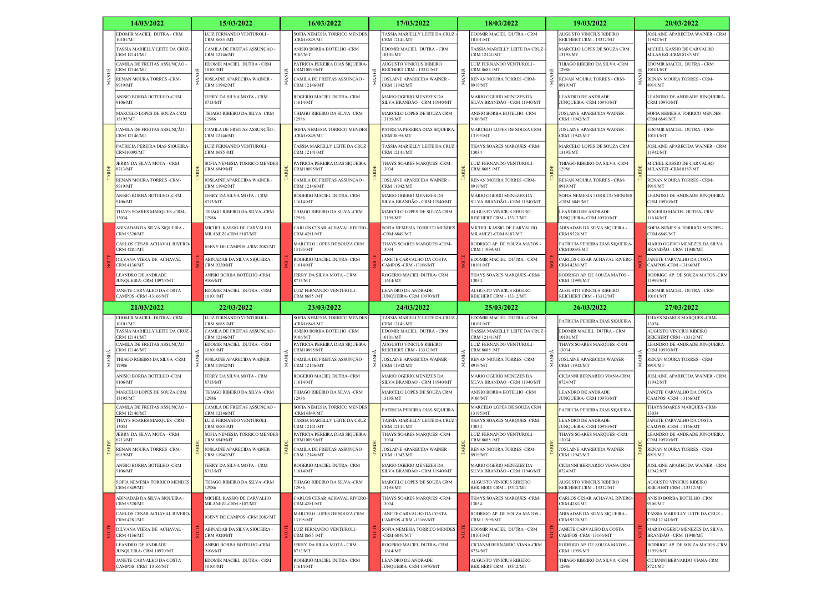|       | 14/03/2022                                                                    |      | 15/03/2022                                                                |     | 16/03/2022                                                             |                                                                                                                                          | 17/03/2022                                                             |                                                         | 18/03/2022                                                                        |                                               | 19/03/2022                                                                          |                                               | 20/03/2022                                                                           |
|-------|-------------------------------------------------------------------------------|------|---------------------------------------------------------------------------|-----|------------------------------------------------------------------------|------------------------------------------------------------------------------------------------------------------------------------------|------------------------------------------------------------------------|---------------------------------------------------------|-----------------------------------------------------------------------------------|-----------------------------------------------|-------------------------------------------------------------------------------------|-----------------------------------------------|--------------------------------------------------------------------------------------|
|       | EDOMIR MACIEL DUTRA - CRM<br>10101/MT                                         |      | LUIZ FERNANDO VENTUROLI -<br>CRM 8685 /MT                                 |     | SOFIA NEMESIA TORRICO MENDES<br><b>CRM 6849/MT</b>                     |                                                                                                                                          | TASSIA MARIELLY LEITE DA CRUZ<br>CRM 12141/MT                          |                                                         | EDOMIR MACIEL DUTRA - CRM<br>10101/MT                                             |                                               | AUGUSTO VINICIUS RIBEIRO<br>REICHERT CRM - 13312/MT                                 |                                               | JOSLAINE APARECIDA WAINER - CRM<br>11942/MT                                          |
|       | TASSIA MARIELLY LEITE DA CRUZ<br><b>CRM 12141/MT</b>                          |      | CAMILA DE FREITAS ASSUNÇÃO -<br>CRM 12146/MT                              |     | ANISIO BORBA BOTELHO -CRM<br>9106/MT                                   |                                                                                                                                          | EDOMIR MACIEL DUTRA - CRM<br>10101/MT                                  | MAN                                                     | TASSIA MARIELLY LEITE DA CRUZ<br>CRM 12141/MT                                     |                                               | MARCELO LOPES DE SOUZA CRM<br>13195/MT                                              |                                               | MICHEL KASSIO DE CARVALHO<br>MILANEZI-CRM 8187/MT                                    |
|       | CAMILA DE FREITAS ASSUNÇÃO -<br><b>CRM 12146/MT</b>                           |      | EDOMIR MACIEL DUTRA - CRM<br>10101/MT                                     | MAN | PATRICIA PEREIRA DIAS SIQUEIRA-<br>CRM10095/MT                         |                                                                                                                                          | <b>AUGUSTO VINICIUS RIBEIRO</b><br>REICHERT CRM - 13312/MT             |                                                         | <b>JUIZ FERNANDO VENTUROLI -</b><br>CRM 8685 /MT                                  | ŦК                                            | THIAGO RIBEIRO DA SILVA -CRM<br>12986                                               |                                               | EDOMIR MACIEL DUTRA - CRM<br>10101/MT                                                |
|       | RENAN MOURA TORRES -CRM-<br>8919/MT                                           | MANI | JOSLAINE APARECIDA WAINER<br>CRM 11942/MT                                 |     | CAMILA DE FREITAS ASSUNÇÃO -<br>CRM 12146/MT                           | JOSLAINE APARECIDA WAINER -<br>CRM 11942/MT<br>MARIO OGERIO MENEZES DA<br>SILVA BRANDÃO - CRM 11940/MT                                   |                                                                        |                                                         | RENAN MOURA TORRES -CRM-<br>8919/MT                                               | MAN                                           | RENAN MOURA TORRES - CRM-<br>8919/MT                                                | MANI                                          | RENAN MOURA TORRES - CRM-<br>8919/MT                                                 |
|       | ANISIO BORBA BOTELHO -CRM<br>106/MT                                           |      | JERRY DA SILVA MOTA - CRM<br>8713/MT                                      |     | ROGERIO MACIEL DUTRA- CRM<br>1614/MT                                   |                                                                                                                                          |                                                                        | MARIO OGERIO MENEZES DA<br>SILVA BRANDÃO - CRM 11940/MT |                                                                                   | LEANDRO DE ANDRADE<br>JUNQUEIRA- CRM 10970/MT |                                                                                     | LEANDRO DE ANDRADE JUNQUEIRA-<br>CRM 10970/MT |                                                                                      |
|       | MARCELO LOPES DE SOUZA CRM<br>13195/MT                                        |      | THIAGO RIBEIRO DA SILVA -CRM<br>12986                                     |     | <b>THIAGO RIBEIRO DA SILVA -CRM</b><br>2986                            |                                                                                                                                          | MARCELO LOPES DE SOUZA CRM<br>13195/MT                                 |                                                         | ANISIO BORBA BOTELHO -CRM<br>9106/MT                                              |                                               | JOSLAINE APARECIDA WAINER -<br>CRM 11942/MT                                         |                                               | SOFIA NEMESIA TORRICO MENDES -<br><b>CRM 6849/MT</b>                                 |
|       | :AMILA DE FREITAS ASSUNÇÃO<br>CRM 12146/MT                                    |      | CAMILA DE FREITAS ASSUNÇÃO -<br>CRM 12146/MT                              |     | SOFIA NEMESIA TORRICO MENDES<br><b>CRM 6849/MT</b>                     |                                                                                                                                          | PATRICIA PEREIRA DIAS SIQUEIRA<br>CRM10095/MT                          |                                                         | MARCELO LOPES DE SOUZA CRM<br>13195/MT                                            |                                               | JOSLAINE APARECIDA WAINER<br>CRM 11942/MT                                           |                                               | EDOMIR MACIEL DUTRA - CRM<br>10101/MT                                                |
|       | PATRICIA PEREIRA DIAS SIQUEIRA-<br>CRM10095/MT                                |      | LUIZ FERNANDO VENTUROLI -<br>CRM 8685 /MT                                 |     | ASSIA MARIELLY LEITE DA CRUZ<br>CRM 12141/MT                           |                                                                                                                                          | <b><i>FASSIA MARIELLY LEITE DA CRUZ</i></b><br>CRM 12141/MT            |                                                         | THAYS SOARES MARQUES -CRM-<br>13034                                               |                                               | MARCELO LOPES DE SOUZA CRM<br>13195/MT                                              |                                               | JOSLAINE APARECIDA WAINER - CRM<br>11942/MT                                          |
|       | JERRY DA SILVA MOTA - CRM<br>8713/MT                                          |      | SOFIA NEMESIA TORRICO MENDES<br><b>CRM 6849/MT</b>                        |     | ATRICIA PEREIRA DIAS SIQUEIRA<br>CRM10095/MT                           |                                                                                                                                          | THAYS SOARES MARQUES -CRM-<br>13034                                    |                                                         | <b>UIZ FERNANDO VENTUROLI-</b><br>CRM 8685 /MT                                    |                                               | THIAGO RIBEIRO DA SILVA -CRM<br>12986                                               |                                               | MICHEL KASSIO DE CARVALHO<br>MILANEZI-CRM 8187/MT                                    |
|       | RENAN MOURA TORRES -CRM-<br>8919/MT                                           |      | JOSLAINE APARECIDA WAINER<br><b>CRM 11942/MT</b>                          |     | :AMILA DE FREITAS ASSUNÇÃO -<br><b>CRM 12146/MT</b>                    |                                                                                                                                          | JOSLAINE APARECIDA WAINER -<br>CRM 11942/MT                            |                                                         | RENAN MOURA TORRES -CRM-<br>8919/MT                                               |                                               | RENAN MOURA TORRES - CRM-<br>8919/MT                                                |                                               | RENAN MOURA TORRES - CRM-<br>8919/MT                                                 |
|       | ANISIO BORBA BOTELHO -CRM<br>106/MT                                           |      | JERRY DA SILVA MOTA - CRM<br>8713/MT                                      |     | ROGERIO MACIEL DUTRA- CRM<br>1614/MT                                   |                                                                                                                                          | MARIO OGERIO MENEZES DA<br>SILVA BRANDÃO - CRM 11940/MT                |                                                         | MARIO OGERIO MENEZES DA<br>SILVA BRANDÃO - CRM 11940/MT                           |                                               | SOFIA NEMESIA TORRICO MENDES<br><b>CRM 6849/MT</b>                                  |                                               | LEANDRO DE ANDRADE JUNQUEIRA-<br>CRM 10970/MT                                        |
|       | THAYS SOARES MARQUES -CRM-<br>13034                                           |      | THIAGO RIBEIRO DA SILVA -CRM<br>12986                                     |     | <b>THIAGO RIBEIRO DA SILVA -CRM</b><br>12986                           | MARCELO LOPES DE SOUZA CRM<br>13195/MT                                                                                                   | AUGUSTO VINICIUS RIBEIRO<br>REICHERT CRM - 13312/MT                    |                                                         | <b>EANDRO DE ANDRADE</b><br><b>IUNQUEIRA- CRM 10970/MT</b>                        |                                               | ROGERIO MACIEL DUTRA- CRM<br>11614/MT                                               |                                               |                                                                                      |
|       | ABINADAB DA SILVA SIQUEIRA -<br>CRM 9320/MT                                   |      | MICHEL KASSIO DE CARVALHO<br><b>MILANEZI-CRM 8187/MT</b>                  |     | CARLOS CESAR ACHAVAL RIVERO-<br><b>CRM 4281/MT</b>                     | SOFIA NEMESIA TORRICO MENDES<br>-CRM 6849/MT<br>THAYS SOARES MARQUES -CRM-<br>13034<br>JANETE CARVALHO DA COSTA<br>CAMPOS -CRM -13166/MT |                                                                        |                                                         | MICHEL KASSIO DE CARVALHO<br>MILANEZI -CRM 8187/MT                                |                                               | ABINADAB DA SILVA SIQUEIRA -<br>CRM 9320/MT                                         |                                               | SOFIA NEMESIA TORRICO MENDES -<br><b>CRM 6849/MT</b>                                 |
|       | ARLOS CESAR ACHAVAL RIVERO-<br><b>CRM 4281/MT</b>                             |      | JOENY DE CAMPOS -CRM 2083/MT                                              |     | MARCELO LOPES DE SOUZA CRM<br>13195/MT                                 |                                                                                                                                          |                                                                        |                                                         | RODRIGO AP. DE SOUZA MATOS -<br><b>RM 11999/MT</b>                                |                                               | PATRICIA PEREIRA DIAS SIQUEIRA-<br>CRM10095/MT                                      |                                               | MARIO OGERIO MENEZES DA SILVA<br>BRANDÃO - CRM 11940/MT                              |
|       | DILVANA VIERA DE ACHAVAL -<br><b>CRM 4136/MT</b>                              |      | ABINADAB DA SILVA SIQUEIRA -<br><b>CRM 9320/MT</b>                        |     | ROGERIO MACIEL DUTRA- CRM<br>1614/MT                                   |                                                                                                                                          | EDOMIR MACIEL DUTRA - CRM<br>10101/MT                                  |                                                         | CARLOS CESAR ACHAVAL RIVERO-<br>CRM 4281/MT                                       |                                               | JANETE CARVALHO DA COSTA<br>CAMPOS -CRM -13166/MT                                   |                                               |                                                                                      |
|       | LEANDRO DE ANDRADE<br><b>UNQUEIRA- CRM 10970/MT</b>                           |      | ANISIO BORBA BOTELHO -CRM<br>9106/MT                                      |     | JERRY DA SILVA MOTA - CRM<br>8713/MT                                   |                                                                                                                                          | ROGERIO MACIEL DUTRA- CRM<br>11614/MT                                  |                                                         | <b>THAYS SOARES MARQUES -CRM-</b><br>3034                                         |                                               | RODRIGO AP. DE SOUZA MATOS -<br>CRM 11999/MT                                        |                                               | RODRIGO AP. DE SOUZA MATOS -CRM<br>11999/MT                                          |
|       | JANETE CARVALHO DA COSTA<br>CAMPOS -CRM -13166/MT                             |      | EDOMIR MACIEL DUTRA - CRM<br>10101/MT                                     |     | LUIZ FERNANDO VENTUROLI -<br>CRM 8685 /MT                              |                                                                                                                                          | <b>LEANDRO DE ANDRADE</b><br>JUNQUEIRA- CRM 10970/MT                   |                                                         | AUGUSTO VINICIUS RIBEIRO<br>REICHERT CRM - 13312/MT                               |                                               | AUGUSTO VINICIUS RIBEIRO<br>REICHERT CRM - 13312/MT                                 |                                               | EDOMIR MACIEL DUTRA - CRM<br>10101/MT                                                |
|       |                                                                               |      |                                                                           |     |                                                                        |                                                                                                                                          |                                                                        |                                                         | 25/03/2022                                                                        |                                               | 26/03/2022                                                                          |                                               | 27/03/2022                                                                           |
|       | 21/03/2022                                                                    |      | 22/03/2022                                                                |     | 23/03/2022                                                             |                                                                                                                                          | 24/03/2022                                                             |                                                         |                                                                                   |                                               |                                                                                     |                                               |                                                                                      |
|       | EDOMIR MACIEL DUTRA - CRM<br>10101/MT                                         |      | LUIZ FERNANDO VENTUROLI -<br>CRM 8685 /MT                                 |     | SOFIA NEMESIA TORRICO MENDES<br><b>CRM 6849/MT</b>                     |                                                                                                                                          | TASSIA MARIELLY LEITE DA CRUZ<br><b>CRM 12141/MT</b>                   |                                                         | EDOMIR MACIEL DUTRA - CRM<br>10101/MT                                             |                                               | PATRICIA PEREIRA DIAS SIQUEIRA                                                      |                                               | THAYS SOARES MARQUES -CRM-<br>13034                                                  |
|       | TASSIA MARIELLY LEITE DA CRUZ<br>CRM 12141/MT<br>CAMILA DE FREITAS ASSUNÇÃO - |      | CAMILA DE FREITAS ASSUNÇÃO -<br>CRM 12146/MT<br>EDOMIR MACIEL DUTRA - CRM |     | ANISIO BORBA BOTELHO -CRM<br>106/MT<br>PATRICIA PEREIRA DIAS SIQUEIRA- |                                                                                                                                          | EDOMIR MACIEL DUTRA - CRM<br>10101/MT<br>AUGUSTO VINICIUS RIBEIRO      |                                                         | TASSIA MARIELLY LEITE DA CRUZ<br><b>CRM 12141/MT</b><br>LUIZ FERNANDO VENTUROLI - |                                               | EDOMIR MACIEL DUTRA - CRM<br>0101/MT<br>THAYS SOARES MARQUES -CRM-                  |                                               | AUGUSTO VINICIUS RIBEIRO<br>REICHERT CRM - 13312/MT<br>LEANDRO DE ANDRADE JUNQUEIRA- |
|       | <b>CRM 12146/MT</b><br>THIAGO RIBEIRO DA SILVA -CRM                           |      | 10101/MT<br>JOSLAINE APARECIDA WAINER -                                   |     | CRM10095/MT<br>'AMILA DE FREITAS ASSUNÇÃO -                            |                                                                                                                                          | REICHERT CRM - 13312/MT<br>JOSLAINE APARECIDA WAINER -                 |                                                         | CRM 8685 /MT<br>RENAN MOURA TORRES -CRM-                                          |                                               | 13034<br>JOSLAINE APARECIDA WAINER -                                                |                                               | CRM 10970/MT<br>RENAN MOURA TORRES - CRM-                                            |
| MANHÃ | 12986<br>ANISIO BORBA BOTELHO -CRM                                            | MAN  | CRM 11942/MT<br>JERRY DA SILVA MOTA - CRM                                 |     | CRM 12146/MT<br><b>ROGERIO MACIEL DUTRA- CRM</b>                       |                                                                                                                                          | <b>CRM 11942/MT</b><br>MARIO OGERIO MENEZES DA                         |                                                         | 8919/MT<br>MARIO OGERIO MENEZES DA                                                |                                               | CRM 11942/MT<br>CICIANNI BERNARDO VIANA-CRM                                         |                                               | 8919/MT<br>JOSLAINE APARECIDA WAINER - CRM                                           |
|       | 9106/MT<br>MARCELO LOPES DE SOUZA CRM<br>13195/MT                             |      | 8713/MT<br>THIAGO RIBEIRO DA SILVA -CRM<br>12986                          |     | 1614/MT<br><b>HIAGO RIBEIRO DA SILVA -CRM</b><br>12986                 |                                                                                                                                          | SILVA BRANDÃO - CRM 11940/MT<br>MARCELO LOPES DE SOUZA CRM<br>13195/MT |                                                         | SILVA BRANDÃO - CRM 11940/MT<br>ANISIO BORBA BOTELHO -CRM<br>9106/MT              |                                               | 8724/MT<br><b>LEANDRO DE ANDRADE</b>                                                |                                               | 1942/MT<br>JANETE CARVALHO DA COSTA                                                  |
|       | CAMILA DE FREITAS ASSUNÇÃO -                                                  |      | CAMILA DE FREITAS ASSUNÇÃO -                                              |     | SOFIA NEMESIA TORRICO MENDES                                           |                                                                                                                                          | PATRICIA PEREIRA DIAS SIQUEIRA                                         |                                                         | MARCELO LOPES DE SOUZA CRM                                                        |                                               | JUNQUEIRA- CRM 10970/MT<br>PATRICIA PEREIRA DIAS SIQUEIRA                           |                                               | CAMPOS -CRM -13166/MT<br>THAYS SOARES MARQUES -CRM-                                  |
|       | CRM 12146/MT<br>THAYS SOARES MARQUES -CRM-<br>13034                           |      | CRM 12146/MT<br>LUIZ FERNANDO VENTUROLI -                                 |     | <b>CRM 6849/MT</b><br>ASSIA MARIELLY LEITE DA CRUZ                     |                                                                                                                                          | TASSIA MARIELLY LEITE DA CRUZ                                          |                                                         | 13195/MT<br>THAYS SOARES MARQUES -CRM-                                            |                                               | LEANDRO DE ANDRADE                                                                  |                                               | 13034<br>JANETE CARVALHO DA COSTA                                                    |
|       | JERRY DA SILVA MOTA - CRM<br>8713/MT                                          |      | CRM 8685 /MT<br>SOFIA NEMESIA TORRICO MENDES<br>CRM 6849/MT               |     | <b>CRM 12141/MT</b><br>PATRICIA PEREIRA DIAS SIQUEIRA<br>CRM10095/MT   |                                                                                                                                          | <b>CRM 12141/MT</b><br>THAYS SOARES MARQUES -CRM-<br>3034              |                                                         | 13034<br><b>UIZ FERNANDO VENTUROLI-</b><br>CRM 8685 /MT                           |                                               | JUNQUEIRA- CRM 10970/MT<br>THAYS SOARES MARQUES -CRM-<br>13034                      |                                               | CAMPOS -CRM -13166/MT<br>LEANDRO DE ANDRADE JUNQUEIRA-<br>CRM 10970/MT               |
|       | RENAN MOURA TORRES -CRM-<br>8919/MT                                           |      | JOSLAINE APARECIDA WAINER -<br>CRM 11942/MT                               |     | CAMILA DE FREITAS ASSUNÇÃO -<br>CRM 12146/MT                           |                                                                                                                                          | JOSLAINE APARECIDA WAINER -<br>CRM 11942/MT                            |                                                         | RENAN MOURA TORRES -CRM-<br>8919/MT                                               |                                               | JOSLAINE APARECIDA WAINER -<br>CRM 11942/MT                                         |                                               | RENAN MOURA TORRES - CRM-<br>8919/MT                                                 |
|       | ANISIO BORBA BOTELHO -CRM<br>9106/MT                                          |      | JERRY DA SILVA MOTA - CRM<br>8713/MT                                      |     | ROGERIO MACIEL DUTRA- CRM<br>1614/MT                                   |                                                                                                                                          | <b>MARIO OGERIO MENEZES DA</b><br>SILVA BRANDÃO - CRM 11940/MT         |                                                         | MARIO OGERIO MENEZES DA<br>SILVA BRANDÃO - CRM 11940/MT                           |                                               | CICIANNI BERNARDO VIANA-CRM<br>8724/MT                                              |                                               | JOSLAINE APARECIDA WAINER - CRM<br>11942/MT                                          |
|       | SOFIA NEMESIA TORRICO MENDES<br><b>CRM 6849/MT</b>                            |      | THIAGO RIBEIRO DA SILVA -CRM<br>12986                                     |     | THIAGO RIBEIRO DA SILVA -CRM<br>12986                                  |                                                                                                                                          | MARCELO LOPES DE SOUZA CRM<br>13195/MT                                 |                                                         | AUGUSTO VINICIUS RIBEIRO<br>REICHERT CRM - 13312/MT                               |                                               | AUGUSTO VINICIUS RIBEIRO<br>REICHERT CRM - 13312/MT                                 |                                               | <b>AUGUSTO VINICIUS RIBEIRO</b><br>REICHERT CRM - 13312/MT                           |
|       | ABINADAB DA SILVA SIQUEIRA -<br><b>CRM 9320/MT</b>                            |      | MICHEL KASSIO DE CARVALHO<br>MILANEZI-CRM 8187/MT                         |     | CARLOS CESAR ACHAVAL RIVERO-<br><b>CRM 4281/MT</b>                     |                                                                                                                                          | THAYS SOARES MARQUES -CRM-<br>13034                                    |                                                         | THAYS SOARES MARQUES -CRM-<br>13034                                               |                                               | CARLOS CESAR ACHAVAL RIVERO-<br><b>CRM 4281/MT</b>                                  |                                               | ANISIO BORBA BOTELHO -CRM<br>9106/MT                                                 |
|       | CARLOS CESAR ACHAVAL RIVERO-<br><b>CRM 4281/MT</b>                            |      | JOENY DE CAMPOS -CRM 2083/MT                                              |     | MARCELO LOPES DE SOUZA CRM<br>13195/MT                                 |                                                                                                                                          | JANETE CARVALHO DA COSTA<br>CAMPOS -CRM -13166/MT                      |                                                         | RODRIGO AP. DE SOUZA MATOS -<br>CRM 11999/MT                                      |                                               | ABINADAB DA SILVA SIQUEIRA -<br><b>CRM 9320/MT</b>                                  |                                               | TASSIA MARIELLY LEITE DA CRUZ -<br>CRM 12141/MT                                      |
|       | DILVANA VIERA DE ACHAVAL -<br><b>CRM 4136/MT</b>                              |      | ABINADAB DA SILVA SIQUEIRA -<br><b>CRM 9320/MT</b>                        |     | LUIZ FERNANDO VENTUROLI -<br>CRM 8685 /MT                              |                                                                                                                                          | SOFIA NEMESIA TORRICO MENDES<br>-CRM $6849/MT$                         |                                                         | EDOMIR MACIEL DUTRA - CRM<br>10101/MT                                             |                                               | JANETE CARVALHO DA COSTA<br>CAMPOS -CRM -13166/MT                                   |                                               | MARIO OGERIO MENEZES DA SILVA<br>BRANDÃO - CRM 11940/MT                              |
|       | LEANDRO DE ANDRADE<br>JUNQUEIRA- CRM 10970/MT<br>JANETE CARVALHO DA COSTA     |      | ANISIO BORBA BOTELHO -CRM<br>9106/MT<br>EDOMIR MACIEL DUTRA - CRM         |     | JERRY DA SILVA MOTA - CRM<br>8713/MT<br>ROGERIO MACIEL DUTRA- CRM      |                                                                                                                                          | ROGERIO MACIEL DUTRA- CRM<br>11614/MT<br>LEANDRO DE ANDRADE            |                                                         | CICIANNI BERNARDO VIANA-CRM<br>8724/MT<br>AUGUSTO VINICIUS RIBEIRO                |                                               | RODRIGO AP. DE SOUZA MATOS -<br><b>CRM 11999/MT</b><br>THIAGO RIBEIRO DA SILVA -CRM |                                               | RODRIGO AP. DE SOUZA MATOS -CRM<br>11999/MT<br>CICIANNI BERNARDO VIANA-CRM           |